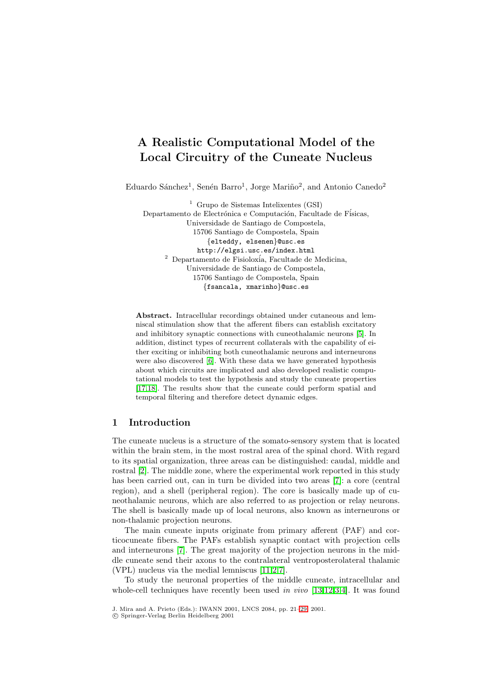# **A Realistic Computational Model of the Local Circuitry of the Cuneate Nucleus**

Eduardo Sánchez<sup>1</sup>, Senén Barro<sup>1</sup>, Jorge Mariño<sup>2</sup>, and Antonio Canedo<sup>2</sup>

<sup>1</sup> Grupo de Sistemas Intelixentes (GSI) Departamento de Electrónica e Computación, Facultade de Físicas, Universidade de Santiago de Compostela, 15706 Santiago de Compostela, Spain {elteddy, elsenen}@usc.es http://elgsi.usc.es/index.html  $2$  Departamento de Fisioloxía, Facultade de Medicina, Universidade de Santiago de Compostela, 15706 Santiago de Compostela, Spain {fsancala, xmarinho}@usc.es

**Abstract.** Intracellular recordings obtained under cutaneous and lemniscal stimulation show that the afferent fibers can establish excitatory and inhibitory synaptic connections with cuneothalamic neurons [\[5\]](#page-7-0). In addition, distinct types of recurrent collaterals with the capability of either exciting or inhibiting both cuneothalamic neurons and interneurons were also discovered [\[6\]](#page-7-0). With these data we have generated hypothesis about which circuits are implicated and also developed realistic computational models to test the hypothesis and study the cuneate properties [\[17,18\]](#page-8-0). The results show that the cuneate could perform spatial and temporal filtering and therefore detect dynamic edges.

## **1 Introduction**

The cuneate nucleus is a structure of the somato-sensory system that is located within the brain stem, in the most rostral area of the spinal chord. With regard to its spatial organization, three areas can be distinguished: caudal, middle and rostral [\[2\]](#page-7-0). The middle zone, where the experimental work reported in this study has been carried out, can in turn be divided into two areas [\[7\]](#page-7-0): a core (central region), and a shell (peripheral region). The core is basically made up of cuneothalamic neurons, which are also referred to as projection or relay neurons. The shell is basically made up of local neurons, also known as interneurons or non-thalamic projection neurons.

The main cuneate inputs originate from primary afferent (PAF) and corticocuneate fibers. The PAFs establish synaptic contact with projection cells and interneurons [\[7\]](#page-7-0). The great majority of the projection neurons in the middle cuneate send their axons to the contralateral ventroposterolateral thalamic (VPL) nucleus via the medial lemniscus [\[11,](#page-8-0)[2,7\]](#page-7-0).

To study the neuronal properties of the middle cuneate, intracellular and whole-cell techniques have recently been used in vivo [\[13,12](#page-8-0)[,3,4\]](#page-7-0). It was found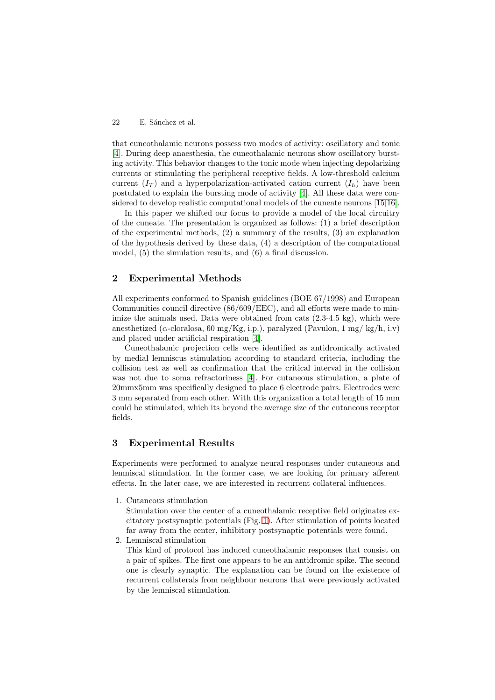that cuneothalamic neurons possess two modes of activity: oscillatory and tonic [\[4\]](#page-7-0). During deep anaesthesia, the cuneothalamic neurons show oscillatory bursting activity. This behavior changes to the tonic mode when injecting depolarizing currents or stimulating the peripheral receptive fields. A low-threshold calcium current  $(I_T)$  and a hyperpolarization-activated cation current  $(I_h)$  have been postulated to explain the bursting mode of activity [\[4\]](#page-7-0). All these data were considered to develop realistic computational models of the cuneate neurons [\[15,16\]](#page-8-0).

In this paper we shifted our focus to provide a model of the local circuitry of the cuneate. The presentation is organized as follows: (1) a brief description of the experimental methods, (2) a summary of the results, (3) an explanation of the hypothesis derived by these data, (4) a description of the computational model, (5) the simulation results, and (6) a final discussion.

## **2 Experimental Methods**

All experiments conformed to Spanish guidelines (BOE 67/1998) and European Communities council directive (86/609/EEC), and all efforts were made to minimize the animals used. Data were obtained from cats  $(2.3-4.5 \text{ kg})$ , which were anesthetized ( $\alpha$ -cloralosa, 60 mg/Kg, i.p.), paralyzed (Pavulon, 1 mg/ kg/h, i.v) and placed under artificial respiration [\[4\]](#page-7-0).

Cuneothalamic projection cells were identified as antidromically activated by medial lemniscus stimulation according to standard criteria, including the collision test as well as confirmation that the critical interval in the collision was not due to soma refractoriness [\[4\]](#page-7-0). For cutaneous stimulation, a plate of 20mmx5mm was specifically designed to place 6 electrode pairs. Electrodes were 3 mm separated from each other. With this organization a total length of 15 mm could be stimulated, which its beyond the average size of the cutaneous receptor fields.

#### **3 Experimental Results**

Experiments were performed to analyze neural responses under cutaneous and lemniscal stimulation. In the former case, we are looking for primary afferent effects. In the later case, we are interested in recurrent collateral influences.

1. Cutaneous stimulation

Stimulation over the center of a cuneothalamic receptive field originates excitatory postsynaptic potentials (Fig. [1\)](#page-2-0). After stimulation of points located far away from the center, inhibitory postsynaptic potentials were found.

2. Lemniscal stimulation

This kind of protocol has induced cuneothalamic responses that consist on a pair of spikes. The first one appears to be an antidromic spike. The second one is clearly synaptic. The explanation can be found on the existence of recurrent collaterals from neighbour neurons that were previously activated by the lemniscal stimulation.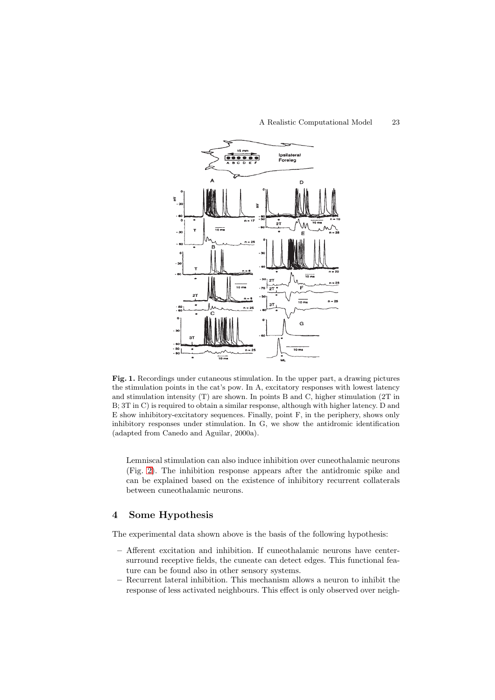<span id="page-2-0"></span>

**Fig. 1.** Recordings under cutaneous stimulation. In the upper part, a drawing pictures the stimulation points in the cat's pow. In A, excitatory responses with lowest latency and stimulation intensity (T) are shown. In points B and C, higher stimulation (2T in B; 3T in C) is required to obtain a similar response, although with higher latency. D and E show inhibitory-excitatory sequences. Finally, point F, in the periphery, shows only inhibitory responses under stimulation. In G, we show the antidromic identification (adapted from Canedo and Aguilar, 2000a).

Lemniscal stimulation can also induce inhibition over cuneothalamic neurons (Fig. [2\)](#page-3-0). The inhibition response appears after the antidromic spike and can be explained based on the existence of inhibitory recurrent collaterals between cuneothalamic neurons.

#### **4 Some Hypothesis**

The experimental data shown above is the basis of the following hypothesis:

- **–** Afferent excitation and inhibition. If cuneothalamic neurons have centersurround receptive fields, the cuneate can detect edges. This functional feature can be found also in other sensory systems.
- **–** Recurrent lateral inhibition. This mechanism allows a neuron to inhibit the response of less activated neighbours. This effect is only observed over neigh-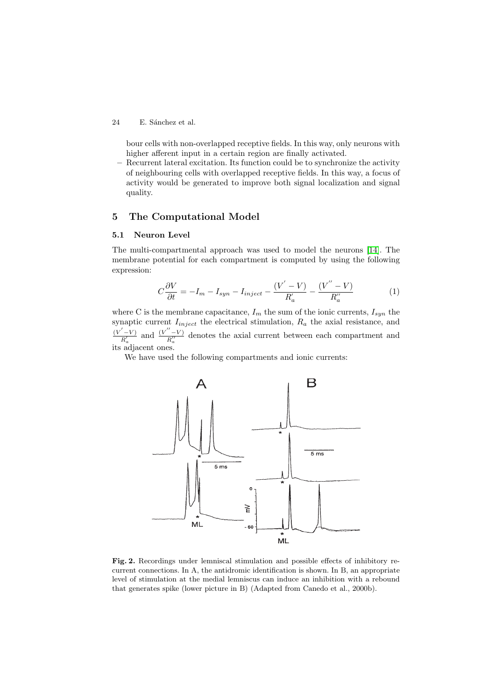<span id="page-3-0"></span>bour cells with non-overlapped receptive fields. In this way, only neurons with higher afferent input in a certain region are finally activated.

**–** Recurrent lateral excitation. Its function could be to synchronize the activity of neighbouring cells with overlapped receptive fields. In this way, a focus of activity would be generated to improve both signal localization and signal quality.

## **5 The Computational Model**

#### **5.1 Neuron Level**

The multi-compartmental approach was used to model the neurons [\[14\]](#page-8-0). The membrane potential for each compartment is computed by using the following expression:

$$
C\frac{\partial V}{\partial t} = -I_m - I_{syn} - I_{inject} - \frac{(V'-V)}{R'_a} - \frac{(V''-V)}{R''_a} \tag{1}
$$

where C is the membrane capacitance,  $I_m$  the sum of the ionic currents,  $I_{sun}$  the synaptic current  $I_{inject}$  the electrical stimulation,  $R_a$  the axial resistance, and  $\frac{(V'-V)}{R'_a}$  and  $\frac{(V''-V)}{R''_a}$  denotes the axial current between each compartment and its adjacent ones.

We have used the following compartments and ionic currents:



**Fig. 2.** Recordings under lemniscal stimulation and possible effects of inhibitory recurrent connections. In A, the antidromic identification is shown. In B, an appropriate level of stimulation at the medial lemniscus can induce an inhibition with a rebound that generates spike (lower picture in B) (Adapted from Canedo et al., 2000b).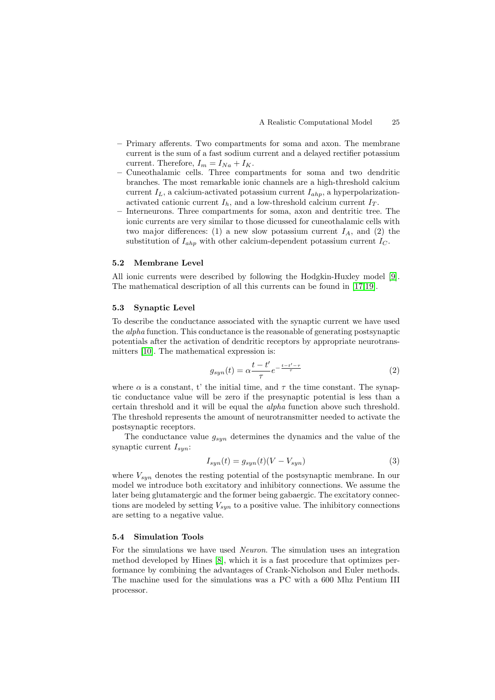- **–** Primary afferents. Two compartments for soma and axon. The membrane current is the sum of a fast sodium current and a delayed rectifier potassium current. Therefore,  $I_m = I_{Na} + I_K$ .
- **–** Cuneothalamic cells. Three compartments for soma and two dendritic branches. The most remarkable ionic channels are a high-threshold calcium current  $I_L$ , a calcium-activated potassium current  $I_{ahp}$ , a hyperpolarizationactivated cationic current  $I<sub>h</sub>$ , and a low-threshold calcium current  $I<sub>T</sub>$ .
- **–** Interneurons. Three compartments for soma, axon and dentritic tree. The ionic currents are very similar to those dicussed for cuneothalamic cells with two major differences: (1) a new slow potassium current  $I_A$ , and (2) the substitution of  $I_{ahp}$  with other calcium-dependent potassium current  $I_C$ .

#### **5.2 Membrane Level**

All ionic currents were described by following the Hodgkin-Huxley model [\[9\]](#page-8-0). The mathematical description of all this currents can be found in [\[17,19\]](#page-8-0).

#### **5.3 Synaptic Level**

To describe the conductance associated with the synaptic current we have used the alpha function. This conductance is the reasonable of generating postsynaptic potentials after the activation of dendritic receptors by appropriate neurotransmitters [\[10\]](#page-8-0). The mathematical expression is:

$$
g_{syn}(t) = \alpha \frac{t - t'}{\tau} e^{-\frac{t - t' - \tau}{\tau}}
$$
\n<sup>(2)</sup>

where  $\alpha$  is a constant, t' the initial time, and  $\tau$  the time constant. The synaptic conductance value will be zero if the presynaptic potential is less than a certain threshold and it will be equal the alpha function above such threshold. The threshold represents the amount of neurotransmitter needed to activate the postsynaptic receptors.

The conductance value  $g_{syn}$  determines the dynamics and the value of the synaptic current  $I_{syn}$ :

$$
I_{syn}(t) = g_{syn}(t)(V - V_{syn})
$$
\n(3)

where  $V_{syn}$  denotes the resting potential of the postsynaptic membrane. In our model we introduce both excitatory and inhibitory connections. We assume the later being glutamatergic and the former being gabaergic. The excitatory connections are modeled by setting  $V_{syn}$  to a positive value. The inhibitory connections are setting to a negative value.

#### **5.4 Simulation Tools**

For the simulations we have used Neuron. The simulation uses an integration method developed by Hines [\[8\]](#page-7-0), which it is a fast procedure that optimizes performance by combining the advantages of Crank-Nicholson and Euler methods. The machine used for the simulations was a PC with a 600 Mhz Pentium III processor.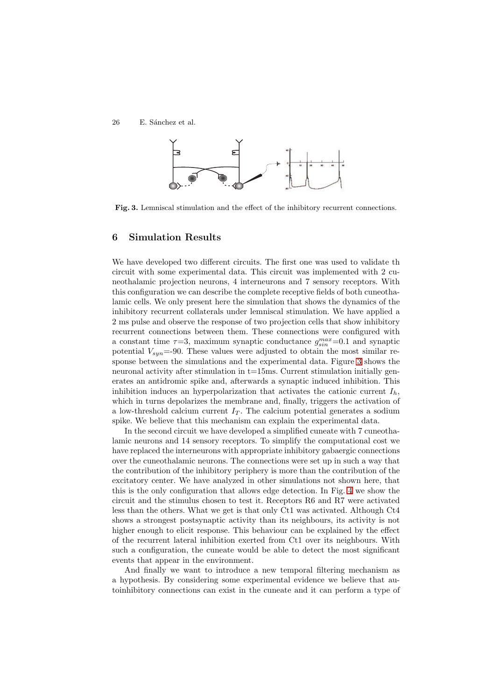

**Fig. 3.** Lemniscal stimulation and the effect of the inhibitory recurrent connections.

#### **6 Simulation Results**

We have developed two different circuits. The first one was used to validate th circuit with some experimental data. This circuit was implemented with 2 cuneothalamic projection neurons, 4 interneurons and 7 sensory receptors. With this configuration we can describe the complete receptive fields of both cuneothalamic cells. We only present here the simulation that shows the dynamics of the inhibitory recurrent collaterals under lemniscal stimulation. We have applied a 2 ms pulse and observe the response of two projection cells that show inhibitory recurrent connections between them. These connections were configured with a constant time  $\tau=3$ , maximum synaptic conductance  $g_{\sin}^{max}=0.1$  and synaptic potential  $V_{sun}$ =-90. These values were adjusted to obtain the most similar response between the simulations and the experimental data. Figure 3 shows the neuronal activity after stimulation in t=15ms. Current stimulation initially generates an antidromic spike and, afterwards a synaptic induced inhibition. This inhibition induces an hyperpolarization that activates the cationic current  $I_h$ , which in turns depolarizes the membrane and, finally, triggers the activation of a low-threshold calcium current  $I_T$ . The calcium potential generates a sodium spike. We believe that this mechanism can explain the experimental data.

In the second circuit we have developed a simplified cuneate with 7 cuneothalamic neurons and 14 sensory receptors. To simplify the computational cost we have replaced the interneurons with appropriate inhibitory gabaergic connections over the cuneothalamic neurons. The connections were set up in such a way that the contribution of the inhibitory periphery is more than the contribution of the excitatory center. We have analyzed in other simulations not shown here, that this is the only configuration that allows edge detection. In Fig. [4](#page-6-0) we show the circuit and the stimulus chosen to test it. Receptors R6 and R7 were activated less than the others. What we get is that only Ct1 was activated. Although Ct4 shows a strongest postsynaptic activity than its neighbours, its activity is not higher enough to elicit response. This behaviour can be explained by the effect of the recurrent lateral inhibition exerted from Ct1 over its neighbours. With such a configuration, the cuneate would be able to detect the most significant events that appear in the environment.

And finally we want to introduce a new temporal filtering mechanism as a hypothesis. By considering some experimental evidence we believe that autoinhibitory connections can exist in the cuneate and it can perform a type of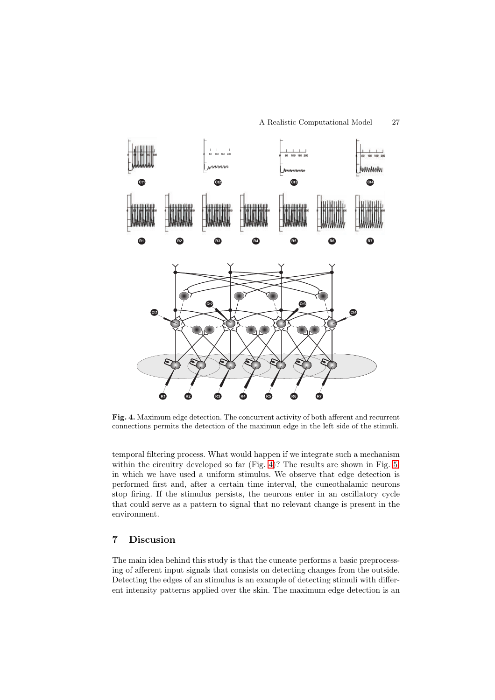<span id="page-6-0"></span>

**Fig. 4.** Maximum edge detection. The concurrent activity of both afferent and recurrent connections permits the detection of the maximun edge in the left side of the stimuli.

temporal filtering process. What would happen if we integrate such a mechanism within the circuitry developed so far (Fig. 4)? The results are shown in Fig. [5,](#page-7-0) in which we have used a uniform stimulus. We observe that edge detection is performed first and, after a certain time interval, the cuneothalamic neurons stop firing. If the stimulus persists, the neurons enter in an oscillatory cycle that could serve as a pattern to signal that no relevant change is present in the environment.

## **7 Discusion**

The main idea behind this study is that the cuneate performs a basic preprocessing of afferent input signals that consists on detecting changes from the outside. Detecting the edges of an stimulus is an example of detecting stimuli with different intensity patterns applied over the skin. The maximum edge detection is an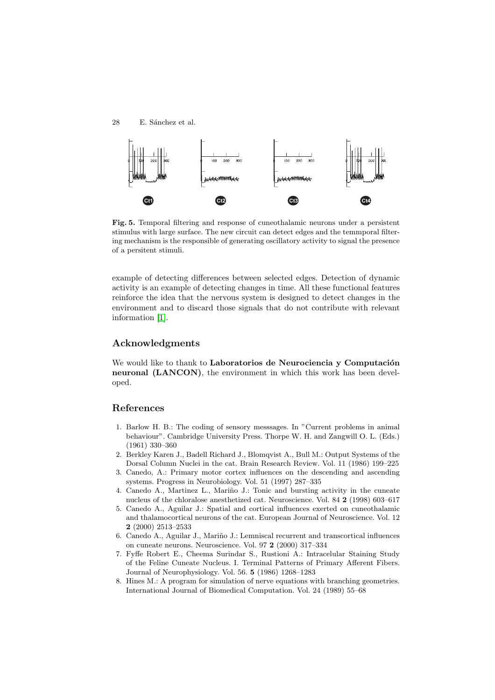<span id="page-7-0"></span>

**Fig. 5.** Temporal filtering and response of cuneothalamic neurons under a persistent stimulus with large surface. The new circuit can detect edges and the temmporal filtering mechanism is the responsible of generating oscillatory activity to signal the presence of a persitent stimuli.

example of detecting differences between selected edges. Detection of dynamic activity is an example of detecting changes in time. All these functional features reinforce the idea that the nervous system is designed to detect changes in the environment and to discard those signals that do not contribute with relevant information [1].

# **Acknowledgments**

We would like to thank to **Laboratorios de Neurociencia y Computación neuronal (LANCON)**, the environment in which this work has been developed.

# **References**

- 1. Barlow H. B.: The coding of sensory messsages. In "Current problems in animal behaviour". Cambridge University Press. Thorpe W. H. and Zangwill O. L. (Eds.) (1961) 330–360
- 2. Berkley Karen J., Badell Richard J., Blomqvist A., Bull M.: Output Systems of the Dorsal Column Nuclei in the cat. Brain Research Review. Vol. 11 (1986) 199–225
- 3. Canedo, A.: Primary motor cortex influences on the descending and ascending systems. Progress in Neurobiology. Vol. 51 (1997) 287–335
- 4. Canedo A., Martinez L., Mariño J.: Tonic and bursting activity in the cuneate nucleus of the chloralose anesthetized cat. Neuroscience. Vol. 84 **2** (1998) 603–617
- 5. Canedo A., Aguilar J.: Spatial and cortical influences exerted on cuneothalamic and thalamocortical neurons of the cat. European Journal of Neuroscience. Vol. 12 **2** (2000) 2513–2533
- 6. Canedo A., Aguilar J., Mariño J.: Lemniscal recurrent and transcortical influences on cuneate neurons. Neuroscience. Vol. 97 **2** (2000) 317–334
- 7. Fyffe Robert E., Cheema Surindar S., Rustioni A.: Intracelular Staining Study of the Feline Cuneate Nucleus. I. Terminal Patterns of Primary Afferent Fibers. Journal of Neurophysiology. Vol. 56. **5** (1986) 1268–1283
- 8. Hines M.: A program for simulation of nerve equations with branching geometries. International Journal of Biomedical Computation. Vol. 24 (1989) 55–68